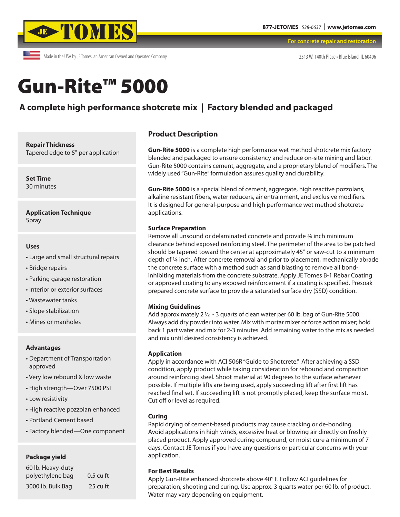

Made in the USA by JE Tomes, an American Owned and Operated Company

**For concrete repair and restoration**

2513 W. 140th Place • Blue Island, IL 60406

# Gun-Rite™ 5000

# **A complete high performance shotcrete mix | Factory blended and packaged**

**Repair Thickness**

Tapered edge to 5" per application

**Set Time** 30 minutes

**Application Technique** Spray

#### **Uses**

- Large and small structural repairs
- Bridge repairs
- Parking garage restoration
- Interior or exterior surfaces
- Wastewater tanks
- Slope stabilization
- Mines or manholes

#### **Advantages**

- Department of Transportation approved
- Very low rebound & low waste
- High strength—Over 7500 PSI
- Low resistivity
- High reactive pozzolan enhanced
- Portland Cement based
- Factory blended—One component

#### **Package yield**

| 60 lb. Heavy-duty |             |
|-------------------|-------------|
| polyethylene bag  | $0.5$ cu ft |
| 3000 lb. Bulk Bag | $25$ cu ft  |

### **Product Description**

**Gun-Rite 5000** is a complete high performance wet method shotcrete mix factory blended and packaged to ensure consistency and reduce on-site mixing and labor. Gun-Rite 5000 contains cement, aggregate, and a proprietary blend of modifiers. The widely used "Gun-Rite" formulation assures quality and durability.

**Gun-Rite 5000** is a special blend of cement, aggregate, high reactive pozzolans, alkaline resistant fibers, water reducers, air entrainment, and exclusive modifiers. It is designed for general-purpose and high performance wet method shotcrete applications.

#### **Surface Preparation**

Remove all unsound or delaminated concrete and provide ¾ inch minimum clearance behind exposed reinforcing steel. The perimeter of the area to be patched should be tapered toward the center at approximately 45° or saw-cut to a minimum depth of ¼ inch. After concrete removal and prior to placement, mechanically abrade the concrete surface with a method such as sand blasting to remove all bondinhibiting materials from the concrete substrate. Apply JE Tomes B-1 Rebar Coating or approved coating to any exposed reinforcement if a coating is specified. Presoak prepared concrete surface to provide a saturated surface dry (SSD) condition.

#### **Mixing Guidelines**

Add approximately 2 ½ - 3 quarts of clean water per 60 lb. bag of Gun-Rite 5000. Always add dry powder into water. Mix with mortar mixer or force action mixer; hold back 1 part water and mix for 2-3 minutes. Add remaining water to the mix as needed and mix until desired consistency is achieved.

#### **Application**

Apply in accordance with ACI 506R "Guide to Shotcrete." After achieving a SSD condition, apply product while taking consideration for rebound and compaction around reinforcing steel. Shoot material at 90 degrees to the surface whenever possible. If multiple lifts are being used, apply succeeding lift after first lift has reached final set. If succeeding lift is not promptly placed, keep the surface moist. Cut off or level as required.

#### **Curing**

Rapid drying of cement-based products may cause cracking or de-bonding. Avoid applications in high winds, excessive heat or blowing air directly on freshly placed product. Apply approved curing compound, or moist cure a minimum of 7 days. Contact JE Tomes if you have any questions or particular concerns with your application.

#### **For Best Results**

Apply Gun-Rite enhanced shotcrete above 40° F. Follow ACI guidelines for preparation, shooting and curing. Use approx. 3 quarts water per 60 lb. of product. Water may vary depending on equipment.